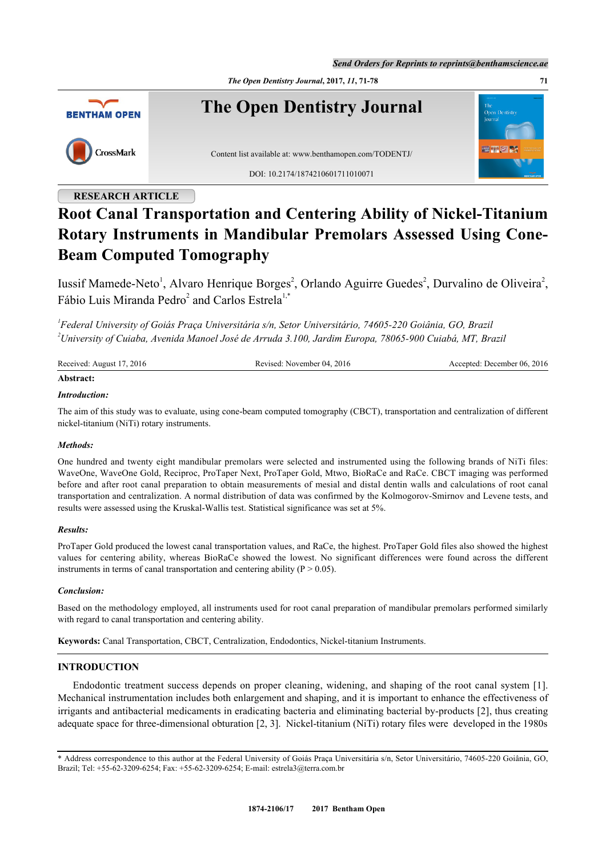*Send Orders for Reprints to reprints@benthamscience.ae*

*The Open Dentistry Journal***, 2017,** *11***, 71-78 71**



## **RESEARCH ARTICLE**

# **Root Canal Transportation and Centering Ability of Nickel-Titanium Rotary Instruments in Mandibular Premolars Assessed Using Cone-Beam Computed Tomography**

Iussif Mamede-Neto<sup>[1](#page-0-0)</sup>, Alvaro Henrique Borges<sup>[2](#page-0-0)</sup>, Orlando Aguirre Guedes<sup>2</sup>, Durvalino de Oliveira<sup>2</sup>, Fábio Luis Miranda Pedro<sup>[2](#page-0-0)</sup> and Carlos Estrela<sup>[1,](#page-0-0)[\\*](#page-0-1)</sup>

<span id="page-0-0"></span>*1 Federal University of Goiás Praça Universitária s/n, Setor Universitário, 74605-220 Goiânia, GO, Brazil <sup>2</sup>University of Cuiaba, Avenida Manoel José de Arruda 3.100, Jardim Europa, 78065-900 Cuiabá, MT, Brazil*

| Received: August 17, 2016 | Revised: November 04, 2016 | Accepted: December 06, 2016 |
|---------------------------|----------------------------|-----------------------------|
| Abstract:                 |                            |                             |

## *Introduction:*

The aim of this study was to evaluate, using cone-beam computed tomography (CBCT), transportation and centralization of different nickel-titanium (NiTi) rotary instruments.

## *Methods:*

One hundred and twenty eight mandibular premolars were selected and instrumented using the following brands of NiTi files: WaveOne, WaveOne Gold, Reciproc, ProTaper Next, ProTaper Gold, Mtwo, BioRaCe and RaCe. CBCT imaging was performed before and after root canal preparation to obtain measurements of mesial and distal dentin walls and calculations of root canal transportation and centralization. A normal distribution of data was confirmed by the Kolmogorov-Smirnov and Levene tests, and results were assessed using the Kruskal-Wallis test. Statistical significance was set at 5%.

## *Results:*

ProTaper Gold produced the lowest canal transportation values, and RaCe, the highest. ProTaper Gold files also showed the highest values for centering ability, whereas BioRaCe showed the lowest. No significant differences were found across the different instruments in terms of canal transportation and centering ability ( $P > 0.05$ ).

## *Conclusion:*

Based on the methodology employed, all instruments used for root canal preparation of mandibular premolars performed similarly with regard to canal transportation and centering ability.

**Keywords:** Canal Transportation, CBCT, Centralization, Endodontics, Nickel-titanium Instruments.

## **INTRODUCTION**

Endodontic treatment success depends on proper cleaning, widening, and shaping of the root canal system [[1\]](#page-5-0). Mechanical instrumentation includes both enlargement and shaping, and it is important to enhance the effectiveness of irrigants and antibacterial medicaments in eradicating bacteria and eliminating bacterial by-products [\[2](#page-5-1)], thus creating adequate space for three-dimensional obturation [\[2](#page-5-1), [3](#page-5-2)]. Nickel-titanium (NiTi) rotary files were developed in the 1980s

<span id="page-0-1"></span><sup>\*</sup> Address correspondence to this author at the Federal University of Goiás Praça Universitária s/n, Setor Universitário, 74605-220 Goiânia, GO, Brazil; Tel: +55-62-3209-6254; Fax: +55-62-3209-6254; E-mail: [estrela3@terra.com.br](mailto:estrela3@terra.com.br)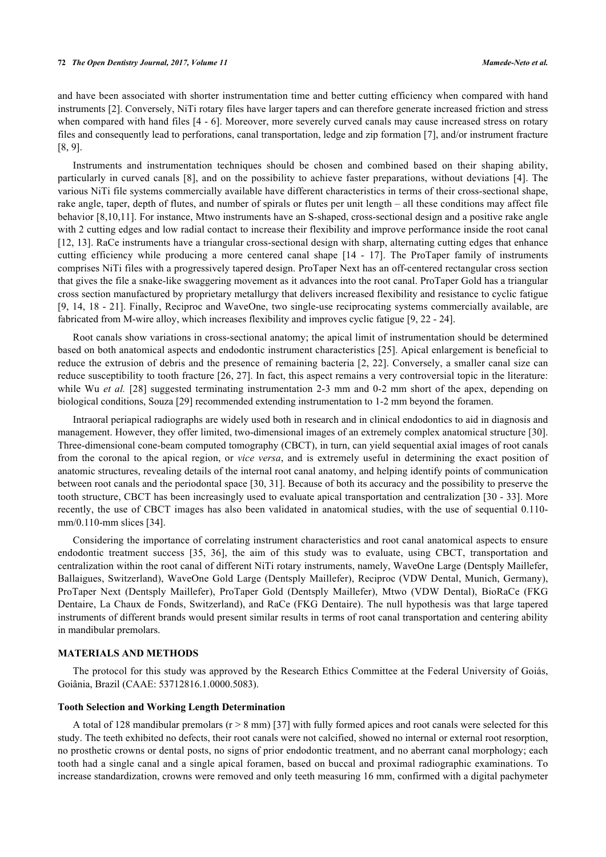and have been associated with shorter instrumentation time and better cutting efficiency when compared with hand instruments [[2\]](#page-5-1). Conversely, NiTi rotary files have larger tapers and can therefore generate increased friction and stress when compared with hand files [[4](#page-5-3) - [6](#page-5-4)]. Moreover, more severely curved canals may cause increased stress on rotary files and consequently lead to perforations, canal transportation, ledge and zip formation [[7\]](#page-5-5), and/or instrument fracture [\[8](#page-5-6), [9](#page-5-7)].

Instruments and instrumentation techniques should be chosen and combined based on their shaping ability, particularly in curved canals [[8\]](#page-5-6), and on the possibility to achieve faster preparations, without deviations [[4](#page-5-3)]. The various NiTi file systems commercially available have different characteristics in terms of their cross-sectional shape, rake angle, taper, depth of flutes, and number of spirals or flutes per unit length – all these conditions may affect file behavior [\[8](#page-5-6),[10](#page-6-0)[,11](#page-6-1)]. For instance, Mtwo instruments have an S-shaped, cross-sectional design and a positive rake angle with 2 cutting edges and low radial contact to increase their flexibility and improve performance inside the root canal [\[12](#page-6-2), [13\]](#page-6-3). RaCe instruments have a triangular cross-sectional design with sharp, alternating cutting edges that enhance cutting efficiency while producing a more centered canal shape[[14](#page-6-4) - [17\]](#page-6-5). The ProTaper family of instruments comprises NiTi files with a progressively tapered design. ProTaper Next has an off-centered rectangular cross section that gives the file a snake-like swaggering movement as it advances into the root canal. ProTaper Gold has a triangular cross section manufactured by proprietary metallurgy that delivers increased flexibility and resistance to cyclic fatigue [\[9](#page-5-7), [14](#page-6-4), [18](#page-6-6) - [21\]](#page-6-7). Finally, Reciproc and WaveOne, two single-use reciprocating systems commercially available, are fabricated from M-wire alloy, which increases flexibility and improves cyclic fatigue [\[9](#page-5-7), [22](#page-6-8) - [24\]](#page-6-9).

Root canals show variations in cross-sectional anatomy; the apical limit of instrumentation should be determined based on both anatomical aspects and endodontic instrument characteristics [[25](#page-6-10)]. Apical enlargement is beneficial to reduce the extrusion of debris and the presence of remaining bacteria [[2](#page-5-1), [22](#page-6-8)]. Conversely, a smaller canal size can reduce susceptibility to tooth fracture [[26](#page-6-11), [27\]](#page-6-12). In fact, this aspect remains a very controversial topic in the literature: while Wu *et al.* [[28\]](#page-6-13) suggested terminating instrumentation 2-3 mm and 0-2 mm short of the apex, depending on biological conditions, Souza [\[29](#page-6-14)] recommended extending instrumentation to 1-2 mm beyond the foramen.

Intraoral periapical radiographs are widely used both in research and in clinical endodontics to aid in diagnosis and management. However, they offer limited, two-dimensional images of an extremely complex anatomical structure [[30\]](#page-7-0). Three-dimensional cone-beam computed tomography (CBCT), in turn, can yield sequential axial images of root canals from the coronal to the apical region, or *vice versa*, and is extremely useful in determining the exact position of anatomic structures, revealing details of the internal root canal anatomy, and helping identify points of communication between root canals and the periodontal space [\[30](#page-7-0), [31\]](#page-7-1). Because of both its accuracy and the possibility to preserve the tooth structure, CBCT has been increasingly used to evaluate apical transportation and centralization [\[30](#page-7-0) - [33\]](#page-7-2). More recently, the use of CBCT images has also been validated in anatomical studies, with the use of sequential 0.110 mm/0.110-mm slices [[34\]](#page-7-3).

Considering the importance of correlating instrument characteristics and root canal anatomical aspects to ensure endodontic treatment success[[35,](#page-7-4) [36](#page-7-5)], the aim of this study was to evaluate, using CBCT, transportation and centralization within the root canal of different NiTi rotary instruments, namely, WaveOne Large (Dentsply Maillefer, Ballaigues, Switzerland), WaveOne Gold Large (Dentsply Maillefer), Reciproc (VDW Dental, Munich, Germany), ProTaper Next (Dentsply Maillefer), ProTaper Gold (Dentsply Maillefer), Mtwo (VDW Dental), BioRaCe (FKG Dentaire, La Chaux de Fonds, Switzerland), and RaCe (FKG Dentaire). The null hypothesis was that large tapered instruments of different brands would present similar results in terms of root canal transportation and centering ability in mandibular premolars.

## **MATERIALS AND METHODS**

The protocol for this study was approved by the Research Ethics Committee at the Federal University of Goiás, Goiânia, Brazil (CAAE: 53712816.1.0000.5083).

#### **Tooth Selection and Working Length Determination**

A total of 128 mandibular premolars  $(r > 8$  mm) [[37\]](#page-7-6) with fully formed apices and root canals were selected for this study. The teeth exhibited no defects, their root canals were not calcified, showed no internal or external root resorption, no prosthetic crowns or dental posts, no signs of prior endodontic treatment, and no aberrant canal morphology; each tooth had a single canal and a single apical foramen, based on buccal and proximal radiographic examinations. To increase standardization, crowns were removed and only teeth measuring 16 mm, confirmed with a digital pachymeter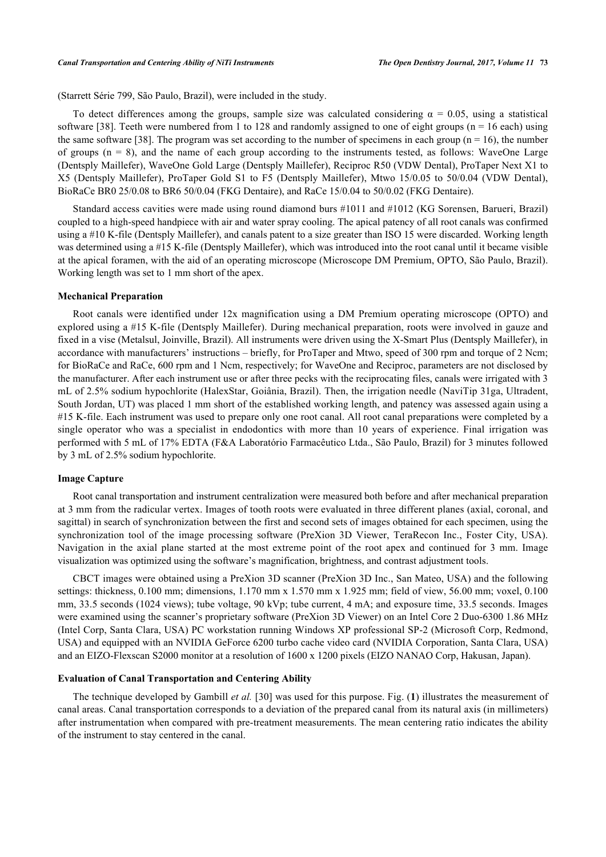(Starrett Série 799, São Paulo, Brazil), were included in the study.

To detect differences among the groups, sample size was calculated considering  $\alpha = 0.05$ , using a statistical software [[38](#page-7-7)]. Teeth were numbered from 1 to 128 and randomly assigned to one of eight groups ( $n = 16$  each) using the same software [[38\]](#page-7-7). The program was set according to the number of specimens in each group ( $n = 16$ ), the number of groups  $(n = 8)$ , and the name of each group according to the instruments tested, as follows: WaveOne Large (Dentsply Maillefer), WaveOne Gold Large (Dentsply Maillefer), Reciproc R50 (VDW Dental), ProTaper Next X1 to X5 (Dentsply Maillefer), ProTaper Gold S1 to F5 (Dentsply Maillefer), Mtwo 15/0.05 to 50/0.04 (VDW Dental), BioRaCe BR0 25/0.08 to BR6 50/0.04 (FKG Dentaire), and RaCe 15/0.04 to 50/0.02 (FKG Dentaire).

Standard access cavities were made using round diamond burs #1011 and #1012 (KG Sorensen, Barueri, Brazil) coupled to a high-speed handpiece with air and water spray cooling. The apical patency of all root canals was confirmed using a #10 K-file (Dentsply Maillefer), and canals patent to a size greater than ISO 15 were discarded. Working length was determined using a #15 K-file (Dentsply Maillefer), which was introduced into the root canal until it became visible at the apical foramen, with the aid of an operating microscope (Microscope DM Premium, OPTO, São Paulo, Brazil). Working length was set to 1 mm short of the apex.

#### **Mechanical Preparation**

Root canals were identified under 12x magnification using a DM Premium operating microscope (OPTO) and explored using a #15 K-file (Dentsply Maillefer). During mechanical preparation, roots were involved in gauze and fixed in a vise (Metalsul, Joinville, Brazil). All instruments were driven using the X-Smart Plus (Dentsply Maillefer), in accordance with manufacturers' instructions – briefly, for ProTaper and Mtwo, speed of 300 rpm and torque of 2 Ncm; for BioRaCe and RaCe, 600 rpm and 1 Ncm, respectively; for WaveOne and Reciproc, parameters are not disclosed by the manufacturer. After each instrument use or after three pecks with the reciprocating files, canals were irrigated with 3 mL of 2.5% sodium hypochlorite (HalexStar, Goiânia, Brazil). Then, the irrigation needle (NaviTip 31ga, Ultradent, South Jordan, UT) was placed 1 mm short of the established working length, and patency was assessed again using a #15 K-file. Each instrument was used to prepare only one root canal. All root canal preparations were completed by a single operator who was a specialist in endodontics with more than 10 years of experience. Final irrigation was performed with 5 mL of 17% EDTA (F&A Laboratório Farmacêutico Ltda., São Paulo, Brazil) for 3 minutes followed by 3 mL of 2.5% sodium hypochlorite.

#### **Image Capture**

Root canal transportation and instrument centralization were measured both before and after mechanical preparation at 3 mm from the radicular vertex. Images of tooth roots were evaluated in three different planes (axial, coronal, and sagittal) in search of synchronization between the first and second sets of images obtained for each specimen, using the synchronization tool of the image processing software (PreXion 3D Viewer, TeraRecon Inc., Foster City, USA). Navigation in the axial plane started at the most extreme point of the root apex and continued for 3 mm. Image visualization was optimized using the software's magnification, brightness, and contrast adjustment tools.

CBCT images were obtained using a PreXion 3D scanner (PreXion 3D Inc., San Mateo, USA) and the following settings: thickness, 0.100 mm; dimensions, 1.170 mm x 1.570 mm x 1.925 mm; field of view, 56.00 mm; voxel, 0.100 mm, 33.5 seconds (1024 views); tube voltage, 90 kVp; tube current, 4 mA; and exposure time, 33.5 seconds. Images were examined using the scanner's proprietary software (PreXion 3D Viewer) on an Intel Core 2 Duo-6300 1.86 MHz (Intel Corp, Santa Clara, USA) PC workstation running Windows XP professional SP-2 (Microsoft Corp, Redmond, USA) and equipped with an NVIDIA GeForce 6200 turbo cache video card (NVIDIA Corporation, Santa Clara, USA) and an EIZO-Flexscan S2000 monitor at a resolution of 1600 x 1200 pixels (EIZO NANAO Corp, Hakusan, Japan).

#### **Evaluation of Canal Transportation and Centering Ability**

<span id="page-2-0"></span>The technique developed by Gambill *et al.* [\[30](#page-7-0)] was used for this purpose. Fig. (**[1](#page-2-0)**) illustrates the measurement of canal areas. Canal transportation corresponds to a deviation of the prepared canal from its natural axis (in millimeters) after instrumentation when compared with pre-treatment measurements. The mean centering ratio indicates the ability of the instrument to stay centered in the canal.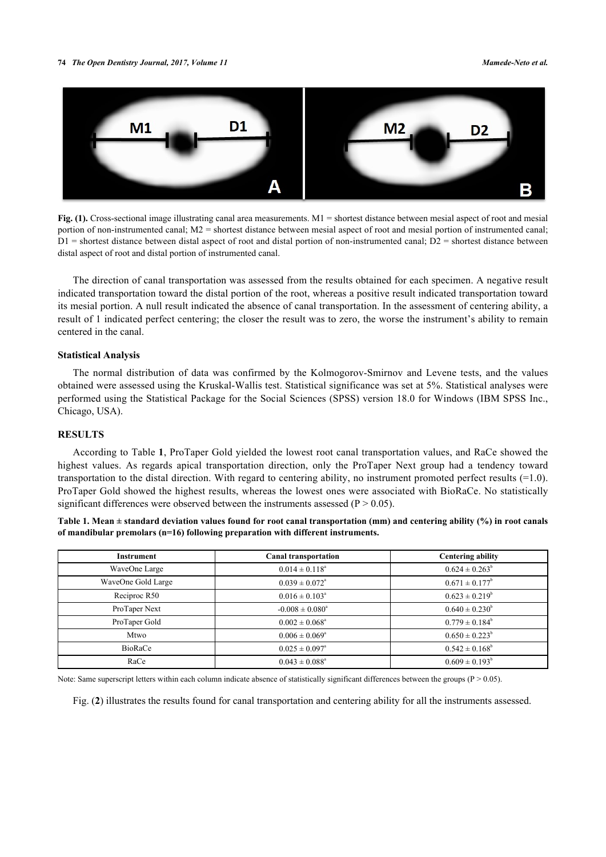#### **74** *The Open Dentistry Journal, 2017, Volume 11 Mamede-Neto et al.*



Fig. (1). Cross-sectional image illustrating canal area measurements. M1 = shortest distance between mesial aspect of root and mesial portion of non-instrumented canal; M2 = shortest distance between mesial aspect of root and mesial portion of instrumented canal;  $D1$  = shortest distance between distal aspect of root and distal portion of non-instrumented canal;  $D2$  = shortest distance between distal aspect of root and distal portion of instrumented canal.

The direction of canal transportation was assessed from the results obtained for each specimen. A negative result indicated transportation toward the distal portion of the root, whereas a positive result indicated transportation toward its mesial portion. A null result indicated the absence of canal transportation. In the assessment of centering ability, a result of 1 indicated perfect centering; the closer the result was to zero, the worse the instrument's ability to remain centered in the canal.

#### **Statistical Analysis**

The normal distribution of data was confirmed by the Kolmogorov-Smirnov and Levene tests, and the values obtained were assessed using the Kruskal-Wallis test. Statistical significance was set at 5%. Statistical analyses were performed using the Statistical Package for the Social Sciences (SPSS) version 18.0 for Windows (IBM SPSS Inc., Chicago, USA).

## **RESULTS**

According to Table **[1](#page-3-0)**, ProTaper Gold yielded the lowest root canal transportation values, and RaCe showed the highest values. As regards apical transportation direction, only the ProTaper Next group had a tendency toward transportation to the distal direction. With regard to centering ability, no instrument promoted perfect results (=1.0). ProTaper Gold showed the highest results, whereas the lowest ones were associated with BioRaCe. No statistically significant differences were observed between the instruments assessed ( $P > 0.05$ ).

<span id="page-3-0"></span>**Table 1. Mean ± standard deviation values found for root canal transportation (mm) and centering ability (%) in root canals of mandibular premolars (n=16) following preparation with different instruments.**

| Instrument         | <b>Canal transportation</b> | <b>Centering ability</b>  |
|--------------------|-----------------------------|---------------------------|
| WaveOne Large      | $0.014 \pm 0.118^a$         | $0.624 \pm 0.263^b$       |
| WaveOne Gold Large | $0.039 \pm 0.072^{\circ}$   | $0.671 \pm 0.177^b$       |
| Reciproc R50       | $0.016 \pm 0.103^{\circ}$   | $0.623 \pm 0.219^b$       |
| ProTaper Next      | $-0.008 \pm 0.080^{\circ}$  | $0.640 \pm 0.230^b$       |
| ProTaper Gold      | $0.002 \pm 0.068^{\circ}$   | $0.779 \pm 0.184^b$       |
| Mtwo               | $0.006 \pm 0.069^{\circ}$   | $0.650 \pm 0.223^b$       |
| <b>BioRaCe</b>     | $0.025 \pm 0.097^{\circ}$   | $0.542 \pm 0.168^{\circ}$ |
| RaCe               | $0.043 \pm 0.088^{\circ}$   | $0.609 \pm 0.193^b$       |

<span id="page-3-1"></span>Note: Same superscript letters within each column indicate absence of statistically significant differences between the groups  $(P > 0.05)$ .

Fig. (**[2](#page-3-1)**) illustrates the results found for canal transportation and centering ability for all the instruments assessed.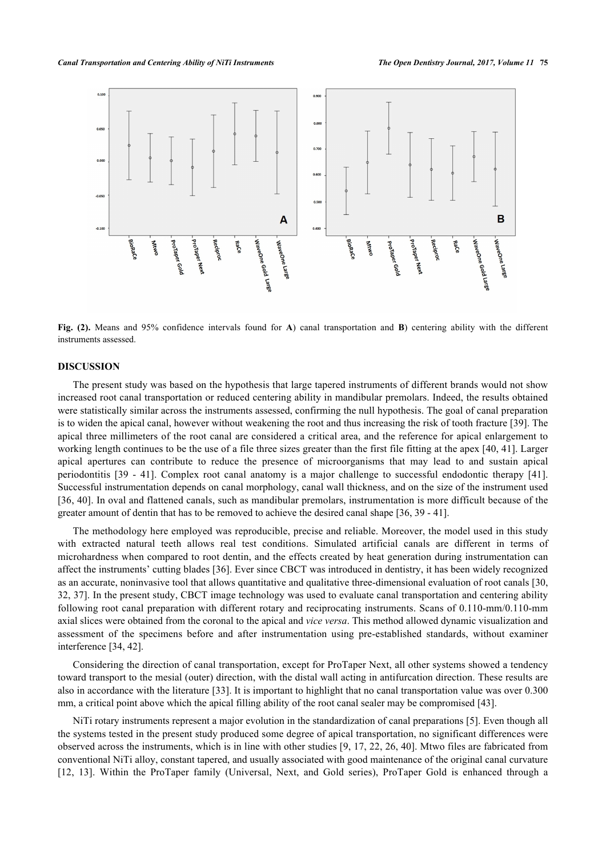

**Fig. (2).** Means and 95% confidence intervals found for **A**) canal transportation and **B**) centering ability with the different instruments assessed.

## **DISCUSSION**

The present study was based on the hypothesis that large tapered instruments of different brands would not show increased root canal transportation or reduced centering ability in mandibular premolars. Indeed, the results obtained were statistically similar across the instruments assessed, confirming the null hypothesis. The goal of canal preparation is to widen the apical canal, however without weakening the root and thus increasing the risk of tooth fracture [[39\]](#page-7-8). The apical three millimeters of the root canal are considered a critical area, and the reference for apical enlargement to working length continues to be the use of a file three sizes greater than the first file fitting at the apex [\[40,](#page-7-9) [41\]](#page-7-10). Larger apical apertures can contribute to reduce the presence of microorganisms that may lead to and sustain apical periodontitis[[39](#page-7-8) - [41](#page-7-10)]. Complex root canal anatomy is a major challenge to successful endodontic therapy [\[41\]](#page-7-10). Successful instrumentation depends on canal morphology, canal wall thickness, and on the size of the instrument used [\[36](#page-7-5), [40\]](#page-7-9). In oval and flattened canals, such as mandibular premolars, instrumentation is more difficult because of the greater amount of dentin that has to be removed to achieve the desired canal shape [\[36](#page-7-5), [39](#page-7-8) - [41\]](#page-7-10).

The methodology here employed was reproducible, precise and reliable. Moreover, the model used in this study with extracted natural teeth allows real test conditions. Simulated artificial canals are different in terms of microhardness when compared to root dentin, and the effects created by heat generation during instrumentation can affect the instruments' cutting blades [\[36](#page-7-5)]. Ever since CBCT was introduced in dentistry, it has been widely recognized as an accurate, noninvasive tool that allows quantitative and qualitative three-dimensional evaluation of root canals [[30](#page-7-0), [32,](#page-7-11) [37](#page-7-6)]. In the present study, CBCT image technology was used to evaluate canal transportation and centering ability following root canal preparation with different rotary and reciprocating instruments. Scans of 0.110-mm/0.110-mm axial slices were obtained from the coronal to the apical and *vice versa*. This method allowed dynamic visualization and assessment of the specimens before and after instrumentation using pre-established standards, without examiner interference [\[34](#page-7-3), [42](#page-7-12)].

Considering the direction of canal transportation, except for ProTaper Next, all other systems showed a tendency toward transport to the mesial (outer) direction, with the distal wall acting in antifurcation direction. These results are also in accordance with the literature [[33\]](#page-7-2). It is important to highlight that no canal transportation value was over 0.300 mm, a critical point above which the apical filling ability of the root canal sealer may be compromised [\[43](#page-7-13)].

NiTi rotary instruments represent a major evolution in the standardization of canal preparations [\[5](#page-5-8)]. Even though all the systems tested in the present study produced some degree of apical transportation, no significant differences were observed across the instruments, which is in line with other studies [\[9](#page-5-7), [17,](#page-6-5) [22](#page-6-8), [26,](#page-6-11) [40](#page-7-9)]. Mtwo files are fabricated from conventional NiTi alloy, constant tapered, and usually associated with good maintenance of the original canal curvature [\[12](#page-6-2), [13\]](#page-6-3). Within the ProTaper family (Universal, Next, and Gold series), ProTaper Gold is enhanced through a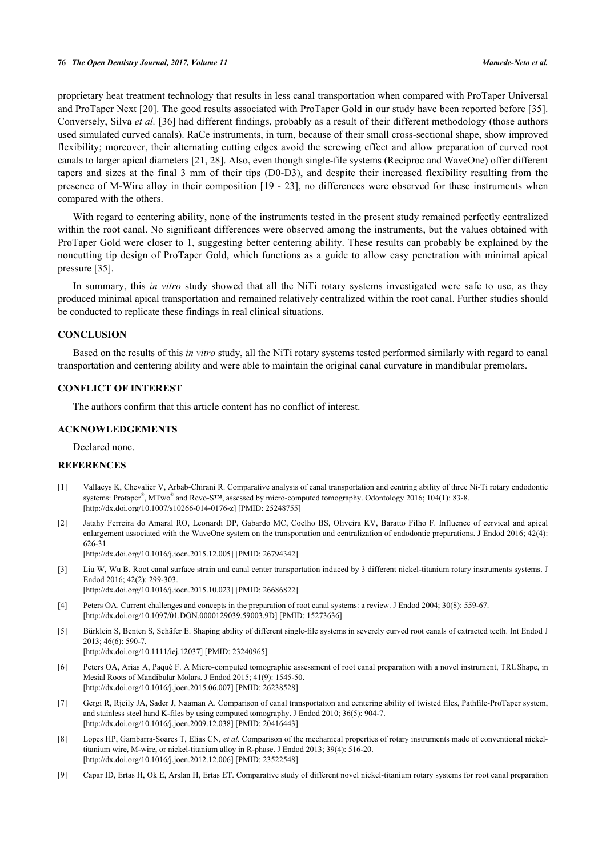proprietary heat treatment technology that results in less canal transportation when compared with ProTaper Universal and ProTaper Next [\[20](#page-6-15)]. The good results associated with ProTaper Gold in our study have been reported before [[35\]](#page-7-4). Conversely, Silva *et al.* [\[36](#page-7-5)] had different findings, probably as a result of their different methodology (those authors used simulated curved canals). RaCe instruments, in turn, because of their small cross-sectional shape, show improved flexibility; moreover, their alternating cutting edges avoid the screwing effect and allow preparation of curved root canals to larger apical diameters [\[21](#page-6-7), [28](#page-6-13)]. Also, even though single-file systems (Reciproc and WaveOne) offer different tapers and sizes at the final 3 mm of their tips (D0-D3), and despite their increased flexibility resulting from the presence of M-Wire alloy in their composition [\[19](#page-6-16) - [23\]](#page-6-17), no differences were observed for these instruments when compared with the others.

With regard to centering ability, none of the instruments tested in the present study remained perfectly centralized within the root canal. No significant differences were observed among the instruments, but the values obtained with ProTaper Gold were closer to 1, suggesting better centering ability. These results can probably be explained by the noncutting tip design of ProTaper Gold, which functions as a guide to allow easy penetration with minimal apical pressure [[35\]](#page-7-4).

In summary, this *in vitro* study showed that all the NiTi rotary systems investigated were safe to use, as they produced minimal apical transportation and remained relatively centralized within the root canal. Further studies should be conducted to replicate these findings in real clinical situations.

### **CONCLUSION**

Based on the results of this *in vitro* study, all the NiTi rotary systems tested performed similarly with regard to canal transportation and centering ability and were able to maintain the original canal curvature in mandibular premolars.

#### **CONFLICT OF INTEREST**

The authors confirm that this article content has no conflict of interest.

## **ACKNOWLEDGEMENTS**

Declared none.

#### **REFERENCES**

- <span id="page-5-0"></span>[1] Vallaeys K, Chevalier V, Arbab-Chirani R. Comparative analysis of canal transportation and centring ability of three Ni-Ti rotary endodontic systems: Protaper®, MTwo® and Revo-S™, assessed by micro-computed tomography. Odontology 2016; 104(1): 83-8. [\[http://dx.doi.org/10.1007/s10266-014-0176-z](http://dx.doi.org/10.1007/s10266-014-0176-z)] [PMID: [25248755](http://www.ncbi.nlm.nih.gov/pubmed/25248755)]
- <span id="page-5-1"></span>[2] Jatahy Ferreira do Amaral RO, Leonardi DP, Gabardo MC, Coelho BS, Oliveira KV, Baratto Filho F. Influence of cervical and apical enlargement associated with the WaveOne system on the transportation and centralization of endodontic preparations. J Endod 2016; 42(4): 626-31.

[\[http://dx.doi.org/10.1016/j.joen.2015.12.005\]](http://dx.doi.org/10.1016/j.joen.2015.12.005) [PMID: [26794342](http://www.ncbi.nlm.nih.gov/pubmed/26794342)]

- <span id="page-5-2"></span>[3] Liu W, Wu B. Root canal surface strain and canal center transportation induced by 3 different nickel-titanium rotary instruments systems. J Endod 2016; 42(2): 299-303. [\[http://dx.doi.org/10.1016/j.joen.2015.10.023\]](http://dx.doi.org/10.1016/j.joen.2015.10.023) [PMID: [26686822](http://www.ncbi.nlm.nih.gov/pubmed/26686822)]
- <span id="page-5-3"></span>[4] Peters OA. Current challenges and concepts in the preparation of root canal systems: a review. J Endod 2004; 30(8): 559-67. [\[http://dx.doi.org/10.1097/01.DON.0000129039.59003.9D\]](http://dx.doi.org/10.1097/01.DON.0000129039.59003.9D) [PMID: [15273636](http://www.ncbi.nlm.nih.gov/pubmed/15273636)]
- <span id="page-5-8"></span>[5] Bürklein S, Benten S, Schäfer E. Shaping ability of different single-file systems in severely curved root canals of extracted teeth. Int Endod J 2013; 46(6): 590-7.

[\[http://dx.doi.org/10.1111/iej.12037\]](http://dx.doi.org/10.1111/iej.12037) [PMID: [23240965](http://www.ncbi.nlm.nih.gov/pubmed/23240965)]

- <span id="page-5-4"></span>[6] Peters OA, Arias A, Paqué F. A Micro-computed tomographic assessment of root canal preparation with a novel instrument, TRUShape, in Mesial Roots of Mandibular Molars. J Endod 2015; 41(9): 1545-50. [\[http://dx.doi.org/10.1016/j.joen.2015.06.007\]](http://dx.doi.org/10.1016/j.joen.2015.06.007) [PMID: [26238528](http://www.ncbi.nlm.nih.gov/pubmed/26238528)]
- <span id="page-5-5"></span>[7] Gergi R, Rjeily JA, Sader J, Naaman A. Comparison of canal transportation and centering ability of twisted files, Pathfile-ProTaper system, and stainless steel hand K-files by using computed tomography. J Endod 2010; 36(5): 904-7. [\[http://dx.doi.org/10.1016/j.joen.2009.12.038\]](http://dx.doi.org/10.1016/j.joen.2009.12.038) [PMID: [20416443](http://www.ncbi.nlm.nih.gov/pubmed/20416443)]
- <span id="page-5-6"></span>[8] Lopes HP, Gambarra-Soares T, Elias CN, *et al.* Comparison of the mechanical properties of rotary instruments made of conventional nickeltitanium wire, M-wire, or nickel-titanium alloy in R-phase. J Endod 2013; 39(4): 516-20. [\[http://dx.doi.org/10.1016/j.joen.2012.12.006\]](http://dx.doi.org/10.1016/j.joen.2012.12.006) [PMID: [23522548](http://www.ncbi.nlm.nih.gov/pubmed/23522548)]
- <span id="page-5-7"></span>[9] Capar ID, Ertas H, Ok E, Arslan H, Ertas ET. Comparative study of different novel nickel-titanium rotary systems for root canal preparation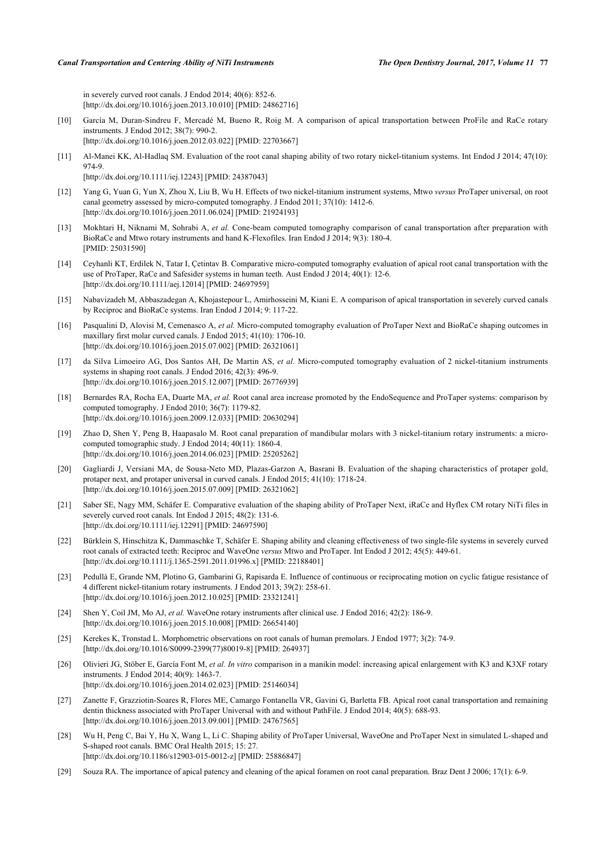in severely curved root canals. J Endod 2014; 40(6): 852-6. [\[http://dx.doi.org/10.1016/j.joen.2013.10.010\]](http://dx.doi.org/10.1016/j.joen.2013.10.010) [PMID: [24862716](http://www.ncbi.nlm.nih.gov/pubmed/24862716)]

- <span id="page-6-0"></span>[10] García M, Duran-Sindreu F, Mercadé M, Bueno R, Roig M. A comparison of apical transportation between ProFile and RaCe rotary instruments. J Endod 2012; 38(7): 990-2. [\[http://dx.doi.org/10.1016/j.joen.2012.03.022\]](http://dx.doi.org/10.1016/j.joen.2012.03.022) [PMID: [22703667](http://www.ncbi.nlm.nih.gov/pubmed/22703667)]
- <span id="page-6-1"></span>[11] Al-Manei KK, Al-Hadlaq SM. Evaluation of the root canal shaping ability of two rotary nickel-titanium systems. Int Endod J 2014; 47(10): 974-9. [\[http://dx.doi.org/10.1111/iej.12243\]](http://dx.doi.org/10.1111/iej.12243) [PMID: [24387043](http://www.ncbi.nlm.nih.gov/pubmed/24387043)]
- <span id="page-6-2"></span>[12] Yang G, Yuan G, Yun X, Zhou X, Liu B, Wu H. Effects of two nickel-titanium instrument systems, Mtwo *versus* ProTaper universal, on root
- canal geometry assessed by micro-computed tomography. J Endod 2011; 37(10): 1412-6. [\[http://dx.doi.org/10.1016/j.joen.2011.06.024\]](http://dx.doi.org/10.1016/j.joen.2011.06.024) [PMID: [21924193](http://www.ncbi.nlm.nih.gov/pubmed/21924193)]
- <span id="page-6-3"></span>[13] Mokhtari H, Niknami M, Sohrabi A, *et al.* Cone-beam computed tomography comparison of canal transportation after preparation with BioRaCe and Mtwo rotary instruments and hand K-Flexofiles. Iran Endod J 2014; 9(3): 180-4. [PMID: [25031590\]](http://www.ncbi.nlm.nih.gov/pubmed/25031590)
- <span id="page-6-4"></span>[14] Ceyhanli KT, Erdilek N, Tatar I, Çetintav B. Comparative micro-computed tomography evaluation of apical root canal transportation with the use of ProTaper, RaCe and Safesider systems in human teeth. Aust Endod J 2014; 40(1): 12-6. [\[http://dx.doi.org/10.1111/aej.12014](http://dx.doi.org/10.1111/aej.12014)] [PMID: [24697959\]](http://www.ncbi.nlm.nih.gov/pubmed/24697959)
- [15] Nabavizadeh M, Abbaszadegan A, Khojastepour L, Amirhosseini M, Kiani E. A comparison of apical transportation in severely curved canals by Reciproc and BioRaCe systems. Iran Endod J 2014; 9: 117-22.
- [16] Pasqualini D, Alovisi M, Cemenasco A, *et al.* Micro-computed tomography evaluation of ProTaper Next and BioRaCe shaping outcomes in maxillary first molar curved canals. J Endod 2015; 41(10): 1706-10. [\[http://dx.doi.org/10.1016/j.joen.2015.07.002\]](http://dx.doi.org/10.1016/j.joen.2015.07.002) [PMID: [26321061](http://www.ncbi.nlm.nih.gov/pubmed/26321061)]
- <span id="page-6-5"></span>[17] da Silva Limoeiro AG, Dos Santos AH, De Martin AS, *et al.* Micro-computed tomography evaluation of 2 nickel-titanium instruments systems in shaping root canals. J Endod 2016; 42(3): 496-9. [\[http://dx.doi.org/10.1016/j.joen.2015.12.007\]](http://dx.doi.org/10.1016/j.joen.2015.12.007) [PMID: [26776939](http://www.ncbi.nlm.nih.gov/pubmed/26776939)]
- <span id="page-6-6"></span>[18] Bernardes RA, Rocha EA, Duarte MA, *et al.* Root canal area increase promoted by the EndoSequence and ProTaper systems: comparison by computed tomography. J Endod 2010; 36(7): 1179-82. [\[http://dx.doi.org/10.1016/j.joen.2009.12.033\]](http://dx.doi.org/10.1016/j.joen.2009.12.033) [PMID: [20630294](http://www.ncbi.nlm.nih.gov/pubmed/20630294)]
- <span id="page-6-16"></span>[19] Zhao D, Shen Y, Peng B, Haapasalo M. Root canal preparation of mandibular molars with 3 nickel-titanium rotary instruments: a microcomputed tomographic study. J Endod 2014; 40(11): 1860-4. [\[http://dx.doi.org/10.1016/j.joen.2014.06.023\]](http://dx.doi.org/10.1016/j.joen.2014.06.023) [PMID: [25205262](http://www.ncbi.nlm.nih.gov/pubmed/25205262)]
- <span id="page-6-15"></span>[20] Gagliardi J, Versiani MA, de Sousa-Neto MD, Plazas-Garzon A, Basrani B. Evaluation of the shaping characteristics of protaper gold, protaper next, and protaper universal in curved canals. J Endod 2015; 41(10): 1718-24. [\[http://dx.doi.org/10.1016/j.joen.2015.07.009\]](http://dx.doi.org/10.1016/j.joen.2015.07.009) [PMID: [26321062](http://www.ncbi.nlm.nih.gov/pubmed/26321062)]
- <span id="page-6-7"></span>[21] Saber SE, Nagy MM, Schäfer E. Comparative evaluation of the shaping ability of ProTaper Next, iRaCe and Hyflex CM rotary NiTi files in severely curved root canals. Int Endod J 2015; 48(2): 131-6. [\[http://dx.doi.org/10.1111/iej.12291\]](http://dx.doi.org/10.1111/iej.12291) [PMID: [24697590](http://www.ncbi.nlm.nih.gov/pubmed/24697590)]
- <span id="page-6-8"></span>[22] Bürklein S, Hinschitza K, Dammaschke T, Schäfer E. Shaping ability and cleaning effectiveness of two single-file systems in severely curved root canals of extracted teeth: Reciproc and WaveOne *versus* Mtwo and ProTaper. Int Endod J 2012; 45(5): 449-61. [\[http://dx.doi.org/10.1111/j.1365-2591.2011.01996.x\]](http://dx.doi.org/10.1111/j.1365-2591.2011.01996.x) [PMID: [22188401](http://www.ncbi.nlm.nih.gov/pubmed/22188401)]
- <span id="page-6-17"></span>[23] Pedullà E, Grande NM, Plotino G, Gambarini G, Rapisarda E. Influence of continuous or reciprocating motion on cyclic fatigue resistance of 4 different nickel-titanium rotary instruments. J Endod 2013; 39(2): 258-61. [\[http://dx.doi.org/10.1016/j.joen.2012.10.025\]](http://dx.doi.org/10.1016/j.joen.2012.10.025) [PMID: [23321241](http://www.ncbi.nlm.nih.gov/pubmed/23321241)]
- <span id="page-6-9"></span>[24] Shen Y, Coil JM, Mo AJ, *et al.* WaveOne rotary instruments after clinical use. J Endod 2016; 42(2): 186-9. [\[http://dx.doi.org/10.1016/j.joen.2015.10.008\]](http://dx.doi.org/10.1016/j.joen.2015.10.008) [PMID: [26654140](http://www.ncbi.nlm.nih.gov/pubmed/26654140)]
- <span id="page-6-10"></span>[25] Kerekes K, Tronstad L. Morphometric observations on root canals of human premolars. J Endod 1977; 3(2): 74-9. [\[http://dx.doi.org/10.1016/S0099-2399\(77\)80019-8\]](http://dx.doi.org/10.1016/S0099-2399(77)80019-8) [PMID: [264937](http://www.ncbi.nlm.nih.gov/pubmed/264937)]
- <span id="page-6-11"></span>[26] Olivieri JG, Stöber E, García Font M, *et al. In vitro* comparison in a manikin model: increasing apical enlargement with K3 and K3XF rotary instruments. J Endod 2014; 40(9): 1463-7. [\[http://dx.doi.org/10.1016/j.joen.2014.02.023\]](http://dx.doi.org/10.1016/j.joen.2014.02.023) [PMID: [25146034](http://www.ncbi.nlm.nih.gov/pubmed/25146034)]
- <span id="page-6-12"></span>[27] Zanette F, Grazziotin-Soares R, Flores ME, Camargo Fontanella VR, Gavini G, Barletta FB. Apical root canal transportation and remaining dentin thickness associated with ProTaper Universal with and without PathFile. J Endod 2014; 40(5): 688-93. [\[http://dx.doi.org/10.1016/j.joen.2013.09.001\]](http://dx.doi.org/10.1016/j.joen.2013.09.001) [PMID: [24767565](http://www.ncbi.nlm.nih.gov/pubmed/24767565)]
- <span id="page-6-13"></span>[28] Wu H, Peng C, Bai Y, Hu X, Wang L, Li C. Shaping ability of ProTaper Universal, WaveOne and ProTaper Next in simulated L-shaped and S-shaped root canals. BMC Oral Health 2015; 15: 27. [\[http://dx.doi.org/10.1186/s12903-015-0012-z](http://dx.doi.org/10.1186/s12903-015-0012-z)] [PMID: [25886847](http://www.ncbi.nlm.nih.gov/pubmed/25886847)]
- <span id="page-6-14"></span>[29] Souza RA. The importance of apical patency and cleaning of the apical foramen on root canal preparation. Braz Dent J 2006; 17(1): 6-9.